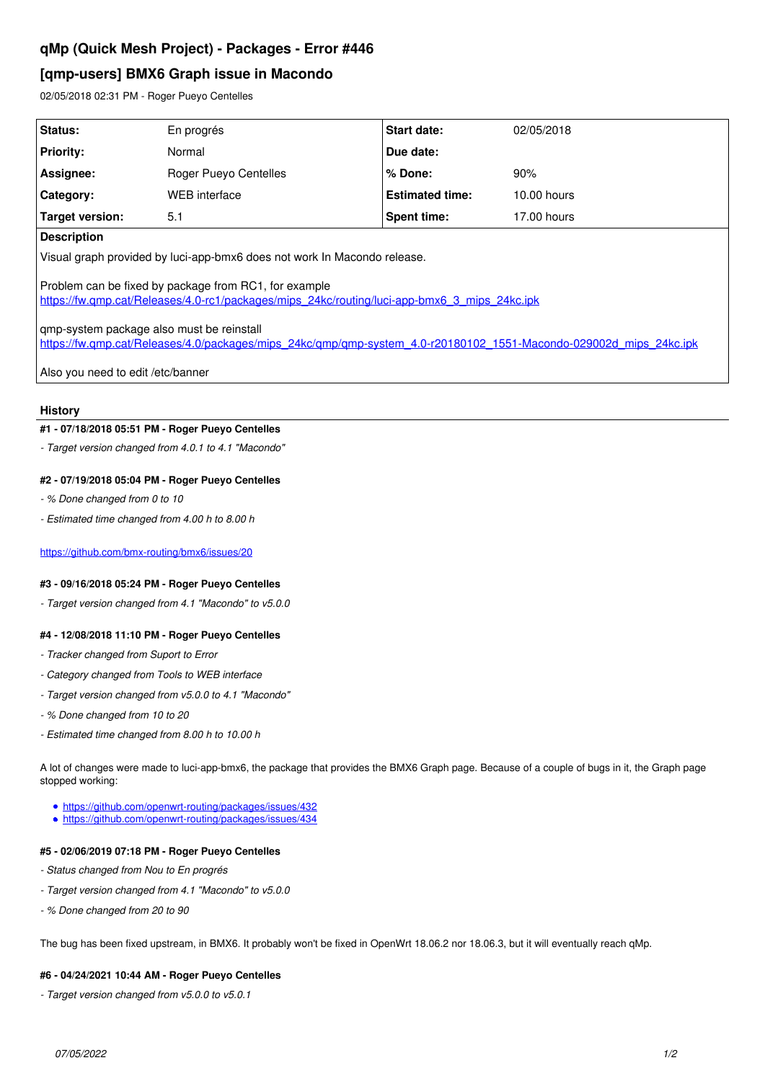# **qMp (Quick Mesh Project) - Packages - Error #446**

## **[qmp-users] BMX6 Graph issue in Macondo**

02/05/2018 02:31 PM - Roger Pueyo Centelles

| <b>Status:</b>                                                                                                                                                                                                                                                                                                           | En progrés            | Start date:            | 02/05/2018  |
|--------------------------------------------------------------------------------------------------------------------------------------------------------------------------------------------------------------------------------------------------------------------------------------------------------------------------|-----------------------|------------------------|-------------|
| <b>Priority:</b>                                                                                                                                                                                                                                                                                                         | Normal                | Due date:              |             |
| Assignee:                                                                                                                                                                                                                                                                                                                | Roger Pueyo Centelles | % Done:                | 90%         |
| Category:                                                                                                                                                                                                                                                                                                                | WEB interface         | <b>Estimated time:</b> | 10.00 hours |
| Target version:                                                                                                                                                                                                                                                                                                          | 5.1                   | Spent time:            | 17.00 hours |
| <b>Description</b>                                                                                                                                                                                                                                                                                                       |                       |                        |             |
| Visual graph provided by luci-app-bmx6 does not work In Macondo release.                                                                                                                                                                                                                                                 |                       |                        |             |
| Problem can be fixed by package from RC1, for example<br>https://fw.gmp.cat/Releases/4.0-rc1/packages/mips_24kc/routing/luci-app-bmx6_3_mips_24kc.ipk<br>gmp-system package also must be reinstall<br>https://fw.gmp.cat/Releases/4.0/packages/mips_24kc/gmp/gmp-system_4.0-r20180102_1551-Macondo-029002d_mips_24kc.ipk |                       |                        |             |
| Also you need to edit /etc/banner                                                                                                                                                                                                                                                                                        |                       |                        |             |

#### **History**

## **#1 - 07/18/2018 05:51 PM - Roger Pueyo Centelles**

*- Target version changed from 4.0.1 to 4.1 "Macondo"*

#### **#2 - 07/19/2018 05:04 PM - Roger Pueyo Centelles**

- *% Done changed from 0 to 10*
- *Estimated time changed from 4.00 h to 8.00 h*

<https://github.com/bmx-routing/bmx6/issues/20>

## **#3 - 09/16/2018 05:24 PM - Roger Pueyo Centelles**

*- Target version changed from 4.1 "Macondo" to v5.0.0*

## **#4 - 12/08/2018 11:10 PM - Roger Pueyo Centelles**

- *Tracker changed from Suport to Error*
- *Category changed from Tools to WEB interface*
- *Target version changed from v5.0.0 to 4.1 "Macondo"*
- *% Done changed from 10 to 20*
- *Estimated time changed from 8.00 h to 10.00 h*

A lot of changes were made to luci-app-bmx6, the package that provides the BMX6 Graph page. Because of a couple of bugs in it, the Graph page stopped working:

- <https://github.com/openwrt-routing/packages/issues/432>
- <https://github.com/openwrt-routing/packages/issues/434>

### **#5 - 02/06/2019 07:18 PM - Roger Pueyo Centelles**

- *Status changed from Nou to En progrés*
- *Target version changed from 4.1 "Macondo" to v5.0.0*
- *% Done changed from 20 to 90*

The bug has been fixed upstream, in BMX6. It probably won't be fixed in OpenWrt 18.06.2 nor 18.06.3, but it will eventually reach qMp.

#### **#6 - 04/24/2021 10:44 AM - Roger Pueyo Centelles**

*- Target version changed from v5.0.0 to v5.0.1*